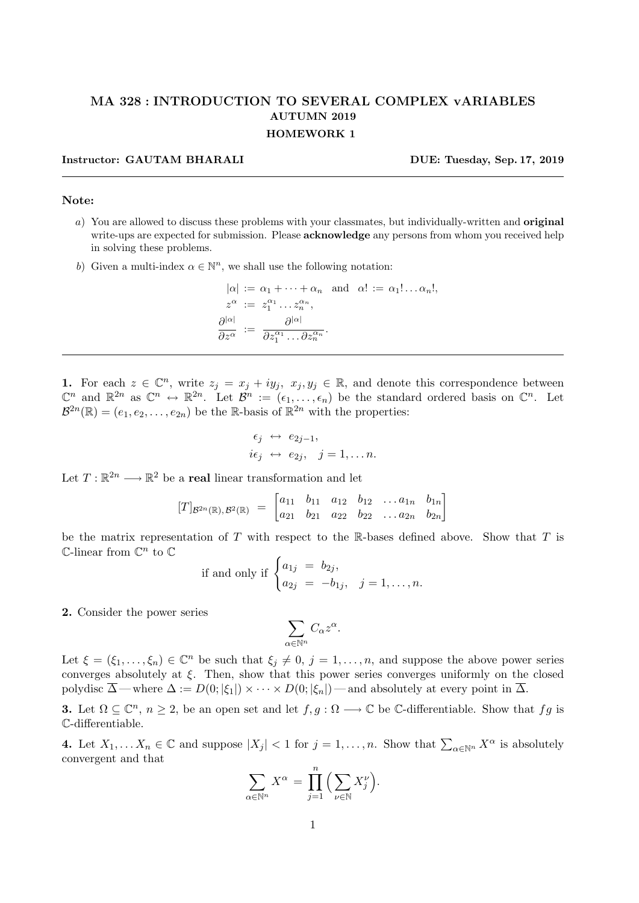## MA 328 : INTRODUCTION TO SEVERAL COMPLEX vARIABLES AUTUMN 2019 HOMEWORK 1

## Instructor: GAUTAM BHARALI DUE: Tuesday, Sep. 17, 2019

## Note:

- a) You are allowed to discuss these problems with your classmates, but individually-written and original write-ups are expected for submission. Please **acknowledge** any persons from whom you received help in solving these problems.
- b) Given a multi-index  $\alpha \in \mathbb{N}^n$ , we shall use the following notation:

$$
|\alpha| := \alpha_1 + \dots + \alpha_n \text{ and } \alpha! := \alpha_1! \dots \alpha_n!,
$$
  
\n
$$
z^{\alpha} := z_1^{\alpha_1} \dots z_n^{\alpha_n},
$$
  
\n
$$
\frac{\partial |\alpha|}{\partial z^{\alpha}} := \frac{\partial |\alpha|}{\partial z_1^{\alpha_1} \dots \partial z_n^{\alpha_n}}.
$$

1. For each  $z \in \mathbb{C}^n$ , write  $z_j = x_j + iy_j$ ,  $x_j, y_j \in \mathbb{R}$ , and denote this correspondence between  $\mathbb{C}^n$  and  $\mathbb{R}^{2n}$  as  $\mathbb{C}^n \leftrightarrow \mathbb{R}^{2n}$ . Let  $\mathcal{B}^n := (\epsilon_1, \ldots, \epsilon_n)$  be the standard ordered basis on  $\mathbb{C}^n$ . Let  $\mathcal{B}^{2n}(\mathbb{R}) = (e_1, e_2, \ldots, e_{2n})$  be the R-basis of  $\mathbb{R}^{2n}$  with the properties:

$$
\begin{aligned}\n\epsilon_j &\leftrightarrow e_{2j-1}, \\
i\epsilon_j &\leftrightarrow e_{2j}, \quad j = 1, \dots n.\n\end{aligned}
$$

Let  $T: \mathbb{R}^{2n} \longrightarrow \mathbb{R}^2$  be a **real** linear transformation and let

$$
[T]_{\mathcal{B}^{2n}(\mathbb{R}),\mathcal{B}^{2}(\mathbb{R})} = \begin{bmatrix} a_{11} & b_{11} & a_{12} & b_{12} & \dots & a_{1n} & b_{1n} \\ a_{21} & b_{21} & a_{22} & b_{22} & \dots & a_{2n} & b_{2n} \end{bmatrix}
$$

be the matrix representation of T with respect to the R-bases defined above. Show that T is  $\mathbb{C}\text{-linear from }\mathbb{C}^n$  to  $\mathbb{C}$ 

if and only if 
$$
\begin{cases} a_{1j} = b_{2j}, \\ a_{2j} = -b_{1j}, \quad j = 1, \dots, n. \end{cases}
$$

2. Consider the power series

$$
\sum_{\alpha\in\mathbb{N}^n}C_\alpha z^\alpha
$$

.

Let  $\xi = (\xi_1, \ldots, \xi_n) \in \mathbb{C}^n$  be such that  $\xi_j \neq 0, j = 1, \ldots, n$ , and suppose the above power series converges absolutely at  $\xi$ . Then, show that this power series converges uniformly on the closed polydisc  $\overline{\Delta}$  — where  $\Delta := D(0; |\xi_1|) \times \cdots \times D(0; |\xi_n|)$  — and absolutely at every point in  $\overline{\Delta}$ .

**3.** Let  $\Omega \subseteq \mathbb{C}^n$ ,  $n \geq 2$ , be an open set and let  $f, g: \Omega \longrightarrow \mathbb{C}$  be  $\mathbb{C}$ -differentiable. Show that  $fg$  is C-differentiable.

4. Let  $X_1, \ldots X_n \in \mathbb{C}$  and suppose  $|X_j| < 1$  for  $j = 1, \ldots, n$ . Show that  $\sum_{\alpha \in \mathbb{N}^n} X^{\alpha}$  is absolutely convergent and that

$$
\sum_{\alpha \in \mathbb{N}^n} X^{\alpha} = \prod_{j=1}^n \Big( \sum_{\nu \in \mathbb{N}} X_j^{\nu} \Big).
$$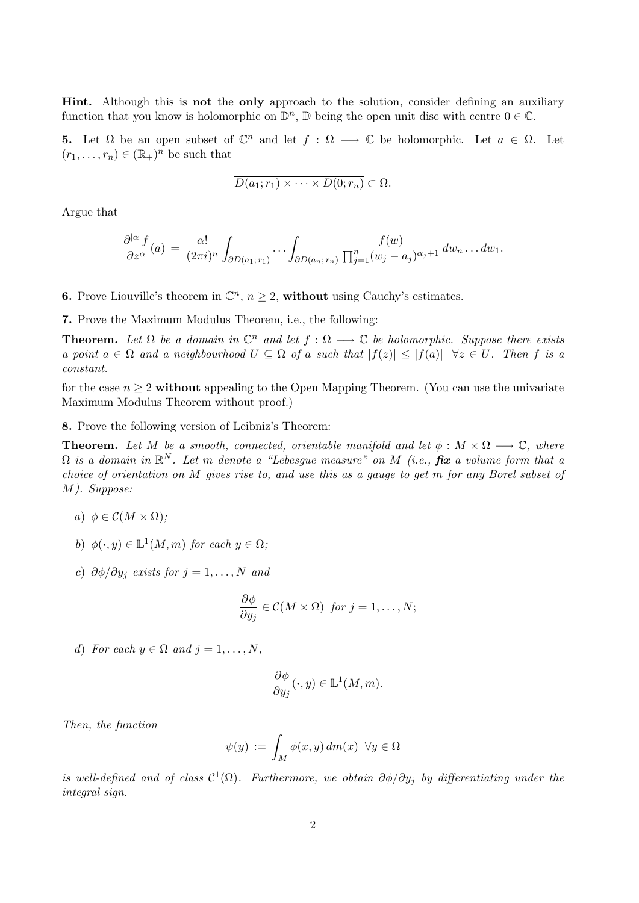Hint. Although this is not the only approach to the solution, consider defining an auxiliary function that you know is holomorphic on  $\mathbb{D}^n$ ,  $\mathbb D$  being the open unit disc with centre  $0 \in \mathbb C$ .

**5.** Let  $\Omega$  be an open subset of  $\mathbb{C}^n$  and let  $f : \Omega \longrightarrow \mathbb{C}$  be holomorphic. Let  $a \in \Omega$ . Let  $(r_1, \ldots, r_n) \in (\mathbb{R}_+)^n$  be such that

$$
\overline{D(a_1;r_1)\times\cdots\times D(0;r_n)}\subset\Omega.
$$

Argue that

$$
\frac{\partial^{|\alpha|} f}{\partial z^{\alpha}}(a) = \frac{\alpha!}{(2\pi i)^n} \int_{\partial D(a_1; r_1)} \cdots \int_{\partial D(a_n; r_n)} \frac{f(w)}{\prod_{j=1}^n (w_j - a_j)^{\alpha_j+1}} dw_n \ldots dw_1.
$$

**6.** Prove Liouville's theorem in  $\mathbb{C}^n$ ,  $n \geq 2$ , without using Cauchy's estimates.

7. Prove the Maximum Modulus Theorem, i.e., the following:

**Theorem.** Let  $\Omega$  be a domain in  $\mathbb{C}^n$  and let  $f : \Omega \longrightarrow \mathbb{C}$  be holomorphic. Suppose there exists a point  $a \in \Omega$  and a neighbourhood  $U \subseteq \Omega$  of a such that  $|f(z)| \leq |f(a)| \quad \forall z \in U$ . Then f is a constant.

for the case  $n \geq 2$  without appealing to the Open Mapping Theorem. (You can use the univariate Maximum Modulus Theorem without proof.)

8. Prove the following version of Leibniz's Theorem:

**Theorem.** Let M be a smooth, connected, orientable manifold and let  $\phi : M \times \Omega \longrightarrow \mathbb{C}$ , where  $\Omega$  is a domain in  $\mathbb{R}^N$ . Let m denote a "Lebesgue measure" on M (i.e.,  $\mathit{fix}$  a volume form that a choice of orientation on M gives rise to, and use this as a gauge to get m for any Borel subset of M). Suppose:

- a)  $\phi \in \mathcal{C}(M \times \Omega)$ :
- b)  $\phi(\cdot, y) \in \mathbb{L}^1(M, m)$  for each  $y \in \Omega$ ;
- c)  $\partial \phi / \partial y_i$  exists for  $j = 1, ..., N$  and

$$
\frac{\partial \phi}{\partial y_j} \in \mathcal{C}(M \times \Omega) \ \ \text{for} \ j = 1, \dots, N;
$$

d) For each  $y \in \Omega$  and  $j = 1, \ldots, N$ ,

$$
\frac{\partial \phi}{\partial y_j}(\cdot, y) \in \mathbb{L}^1(M, m).
$$

Then, the function

$$
\psi(y) := \int_M \phi(x, y) \, dm(x) \ \forall y \in \Omega
$$

is well-defined and of class  $C^1(\Omega)$ . Furthermore, we obtain  $\partial \phi / \partial y_j$  by differentiating under the integral sign.